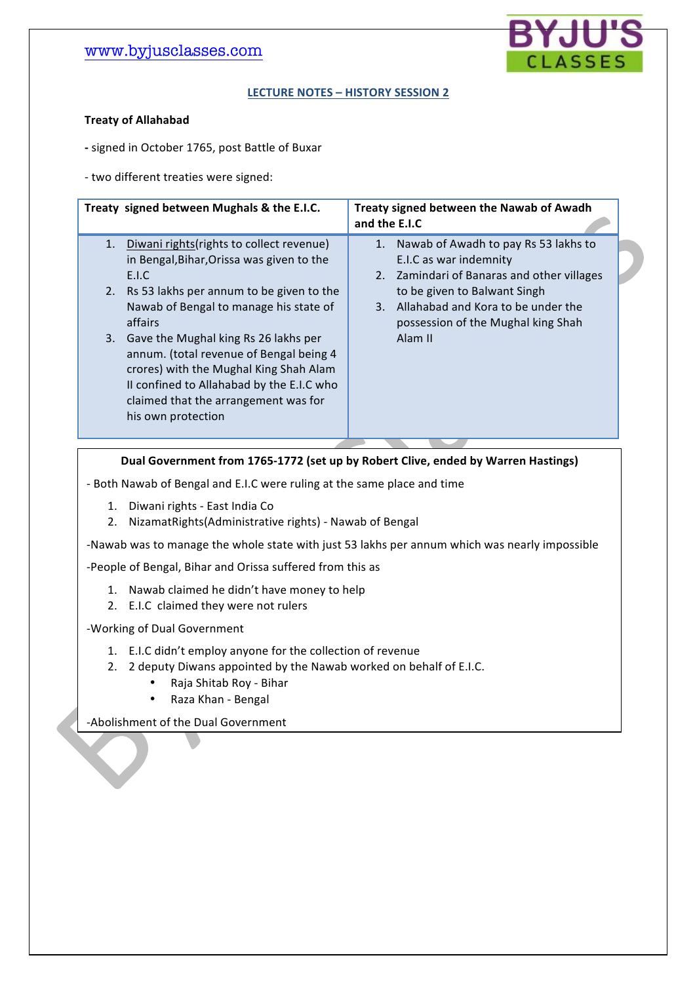

#### LECTURE NOTES - HISTORY SESSION 2

#### **Treaty'of'Allahabad**

- signed in October 1765, post Battle of Buxar

- two different treaties were signed:

| Treaty signed between Mughals & the E.I.C.                                                                                                                                                                                                 | Treaty signed between the Nawab of Awadh<br>and the E.I.C                                                             |
|--------------------------------------------------------------------------------------------------------------------------------------------------------------------------------------------------------------------------------------------|-----------------------------------------------------------------------------------------------------------------------|
| Diwani rights (rights to collect revenue)<br>1.<br>in Bengal, Bihar, Orissa was given to the<br>E.I.C                                                                                                                                      | Nawab of Awadh to pay Rs 53 lakhs to<br>1.<br>E.I.C as war indemnity<br>Zamindari of Banaras and other villages<br>2. |
| 2. Rs 53 lakhs per annum to be given to the<br>Nawab of Bengal to manage his state of<br>affairs                                                                                                                                           | to be given to Balwant Singh<br>Allahabad and Kora to be under the<br>3.<br>possession of the Mughal king Shah        |
| Gave the Mughal king Rs 26 lakhs per<br>3.<br>annum. (total revenue of Bengal being 4<br>crores) with the Mughal King Shah Alam<br>II confined to Allahabad by the E.I.C who<br>claimed that the arrangement was for<br>his own protection | Alam II                                                                                                               |

**Dual'Government'from'1765<1772'(set'up'by'Robert'Clive, ended'by'Warren'Hastings)**

- Both Nawab of Bengal and E.I.C were ruling at the same place and time

- 1. Diwani rights East India Co
- 2. NizamatRights(Administrative rights) Nawab of Bengal

-Nawab was to manage the whole state with just 53 lakhs per annum which was nearly impossible

1. The! E.I.C! abolished! Dual! government,! established! direct! rule! over! the! state! of! Bengal,! Nawab!who!was!acting!as!a!puppet!removed!permanently!by! the!E.I.C,!later!expanding! to!

-People of Bengal, Bihar and Orissa suffered from this as

- 1. Nawab claimed he didn't have money to help
- 2. E.I.C claimed they were not rulers

-Working of Dual Government

other!parts.

- 1. E.I.C didn't employ anyone for the collection of revenue
- 2. 2 deputy Diwans appointed by the Nawab worked on behalf of E.I.C.
	- Raja Shitab Roy Bihar
	- Raza Khan Bengal

-Abolishment of the Dual Government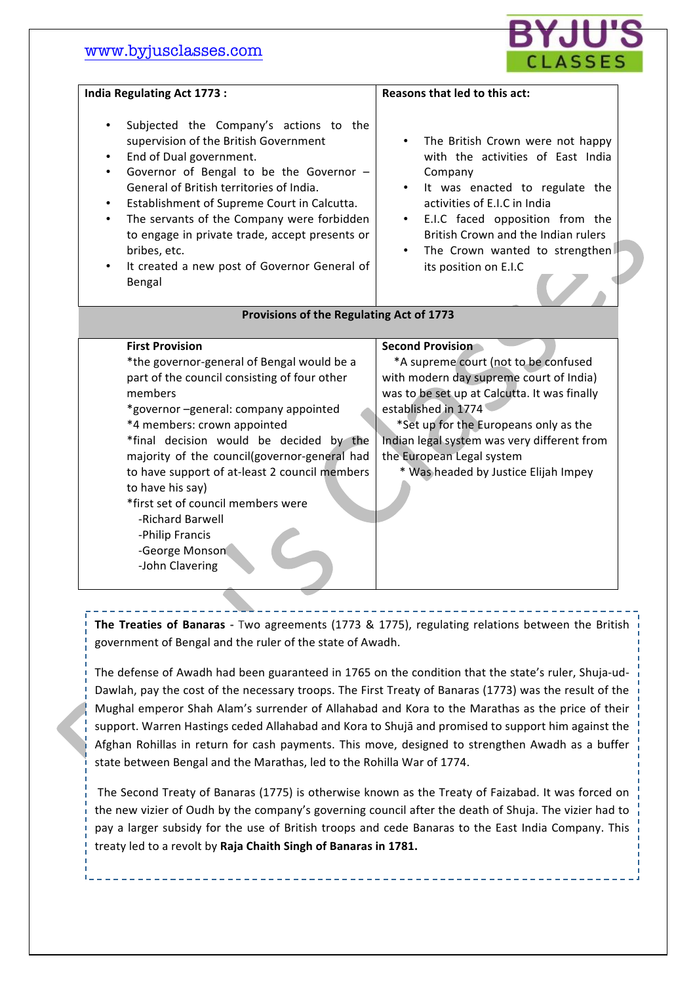

| <b>India Regulating Act 1773:</b>                                                                                                                                                                                                                                                                                                                                                                                                                                                        | Reasons that led to this act:                                                                                                                                                                                                                                                                                                                  |
|------------------------------------------------------------------------------------------------------------------------------------------------------------------------------------------------------------------------------------------------------------------------------------------------------------------------------------------------------------------------------------------------------------------------------------------------------------------------------------------|------------------------------------------------------------------------------------------------------------------------------------------------------------------------------------------------------------------------------------------------------------------------------------------------------------------------------------------------|
| Subjected the Company's actions to the<br>supervision of the British Government<br>End of Dual government.<br>Governor of Bengal to be the Governor -<br>General of British territories of India.<br>Establishment of Supreme Court in Calcutta.<br>The servants of the Company were forbidden<br>to engage in private trade, accept presents or<br>bribes, etc.<br>It created a new post of Governor General of<br>Bengal                                                               | The British Crown were not happy<br>$\bullet$<br>with the activities of East India<br>Company<br>It was enacted to regulate the<br>activities of E.I.C in India<br>E.I.C faced opposition from the<br>$\bullet$<br>British Crown and the Indian rulers<br>The Crown wanted to strengthen<br>$\bullet$<br>its position on E.I.C                 |
| Provisions of the Regulating Act of 1773                                                                                                                                                                                                                                                                                                                                                                                                                                                 |                                                                                                                                                                                                                                                                                                                                                |
| <b>First Provision</b><br>*the governor-general of Bengal would be a<br>part of the council consisting of four other<br>members<br>*governor-general: company appointed<br>*4 members: crown appointed<br>*final decision would be decided by the<br>majority of the council(governor-general had<br>to have support of at-least 2 council members<br>to have his say)<br>*first set of council members were<br>-Richard Barwell<br>-Philip Francis<br>-George Monson<br>-John Clavering | <b>Second Provision</b><br>*A supreme court (not to be confused<br>with modern day supreme court of India)<br>was to be set up at Calcutta. It was finally<br>established in 1774<br>*Set up for the Europeans only as the<br>Indian legal system was very different from<br>the European Legal system<br>* Was headed by Justice Elijah Impey |

**The Treaties of Banaras** - Two agreements (1773 & 1775), regulating relations between the British government of Bengal and the ruler of the state of Awadh.

The defense of Awadh had been guaranteed in 1765 on the condition that the state's ruler, Shuja-ud-Dawlah, pay the cost of the necessary troops. The First Treaty of Banaras (1773) was the result of the Mughal emperor Shah Alam's surrender of Allahabad and Kora to the Marathas as the price of their support. Warren Hastings ceded Allahabad and Kora to Shujā and promised to support him against the Afghan Rohillas in return for cash payments. This move, designed to strengthen Awadh as a buffer state between Bengal and the Marathas, led to the Rohilla War of 1774.

The Second Treaty of Banaras (1775) is otherwise known as the Treaty of Faizabad. It was forced on the new vizier of Oudh by the company's governing council after the death of Shuja. The vizier had to pay a larger subsidy for the use of British troops and cede Banaras to the East India Company. This treaty led to a revolt by Raja Chaith Singh of Banaras in 1781.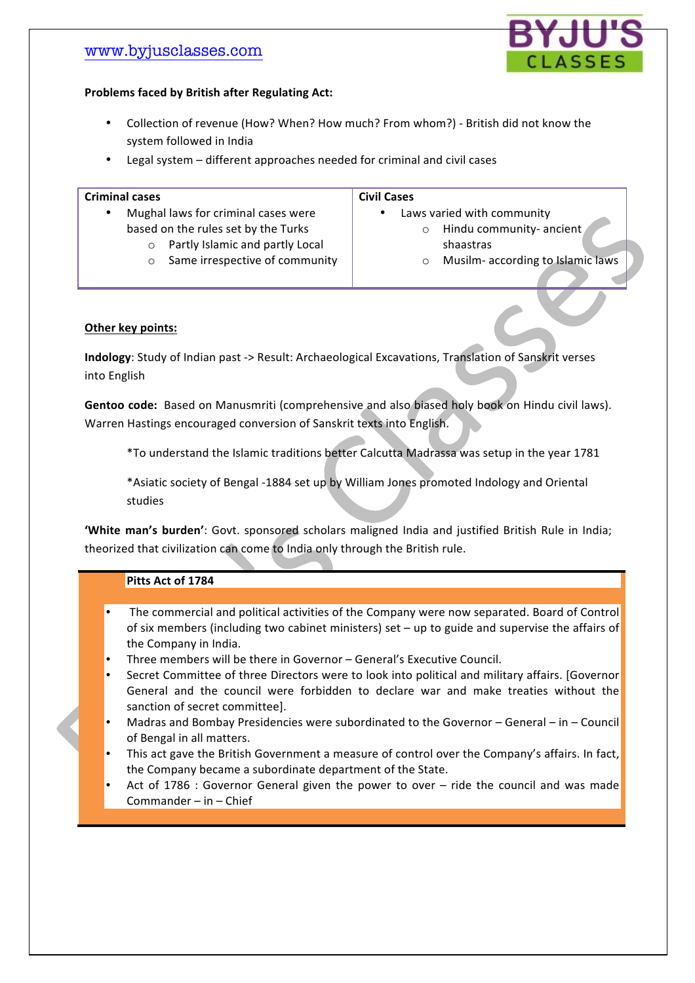

### Problems faced by British after Regulating Act:

- Collection of revenue (How? When? How much? From whom?) British did not know the system followed in India
- Legal system different approaches needed for criminal and civil cases

#### **Criminal'cases**

- **Civil'Cases**
- Mughal laws for criminal cases were based on the rules set by the Turks
	- $\circ$  Partly Islamic and partly Local
	- $\circ$  Same irrespective of community

Laws varied with community o Hindu community- ancient

- shaastras
- o Musilm- according to Islamic laws

### **Other key points:**

Indology: Study of Indian past -> Result: Archaeological Excavations, Translation of Sanskrit verses into English

Gentoo code: Based on Manusmriti (comprehensive and also biased holy book on Hindu civil laws). Warren Hastings encouraged conversion of Sanskrit texts into English.

\*To understand the Islamic traditions better Calcutta Madrassa was setup in the year 1781

\*Asiatic society of Bengal -1884 set up by William Jones promoted Indology and Oriental studies

'White man's burden': Govt. sponsored scholars maligned India and justified British Rule in India; theorized that civilization can come to India only through the British rule.

## Pitts Act of 1784

- The commercial and political activities of the Company were now separated. Board of Control of six members (including two cabinet ministers) set – up to guide and supervise the affairs of the Company in India.
- Three members will be there in Governor General's Executive Council.
- Secret Committee of three Directors were to look into political and military affairs. [Governor] General and the council were forbidden to declare war and make treaties without the sanction of secret committee].
- Madras and Bombay Presidencies were subordinated to the Governor General in Council of Bengal in all matters.
- This act gave the British Government a measure of control over the Company's affairs. In fact, the Company became a subordinate department of the State.
- Act of 1786 : Governor General given the power to over ride the council and was made Commander – in – Chief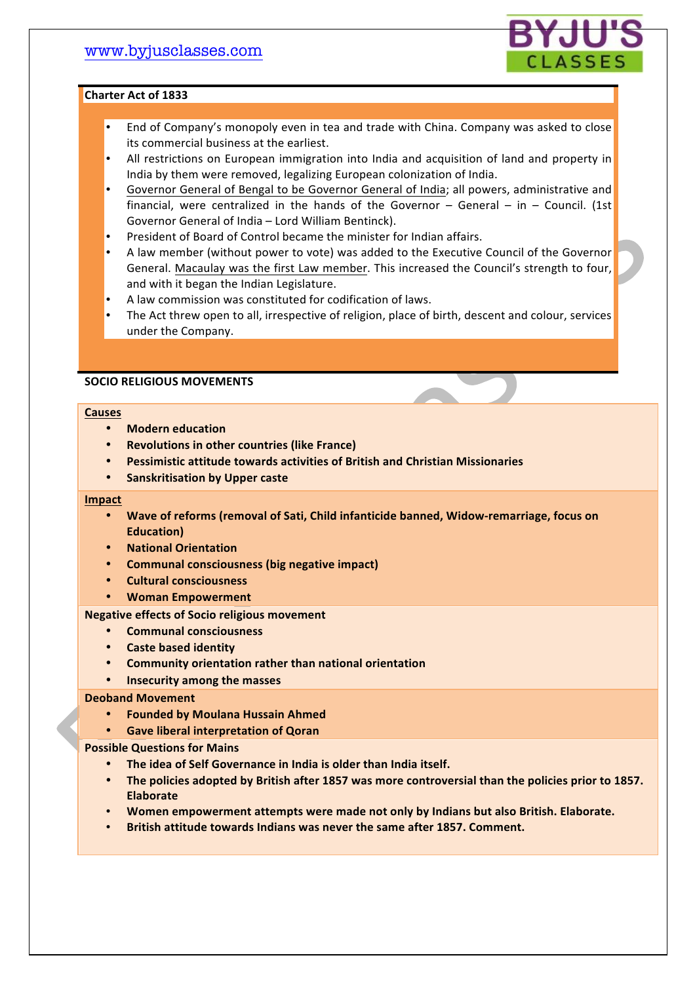

#### **Charter'Act'of'1833'**

- End of Company's monopoly even in tea and trade with China. Company was asked to close its commercial business at the earliest.
- All restrictions on European immigration into India and acquisition of land and property in India by them were removed, legalizing European colonization of India.
- Governor General of Bengal to be Governor General of India; all powers, administrative and financial, were centralized in the hands of the Governor – General – in – Council. (1st Governor General of India – Lord William Bentinck).
- President of Board of Control became the minister for Indian affairs.
- A law member (without power to vote) was added to the Executive Council of the Governor General. Macaulay was the first Law member. This increased the Council's strength to four, and with it began the Indian Legislature.
- A law commission was constituted for codification of laws.
- The Act threw open to all, irrespective of religion, place of birth, descent and colour, services under the Company.

### **SOCIO'RELIGIOUS'MOVEMENTS**

#### **Causes**

- **Modern'education**
- **Revolutions in other countries (like France)**
- **Pessimistic'attitude'towards'activities'of'British'and'Christian'Missionaries**
- **•** Sanskritisation by Upper caste

#### **Impact**

- Wave of reforms (removal of Sati, Child infanticide banned, Widow-remarriage, focus on **Education)**
- **National'Orientation**
- **Communal'consciousness'(big'negative'impact)**
- **Cultural'consciousness**
- **Woman'Empowerment**

#### **Negative effects of Socio religious movement**

- **Communal'consciousness**
- **Caste'based'identity**
- **Community'orientation'rather'than'national'orientation**
- **Insecurity'among'the'masses**

#### **Deoband'Movement**

- **Founded'by'Moulana'Hussain'Ahmed**
- **Gave liberal interpretation of Qoran**

#### **Possible Questions for Mains**

- The idea of Self Governance in India is older than India itself.
- **The'policies'adopted'by'British'after'1857'was'more'controversial'than'the'policies'prior'to'1857.' Elaborate**
- **Women'empowerment'attempts'were'made'not'only'by'Indians'but'also'British.'Elaborate.**
- **British attitude towards Indians was never the same after 1857. Comment.**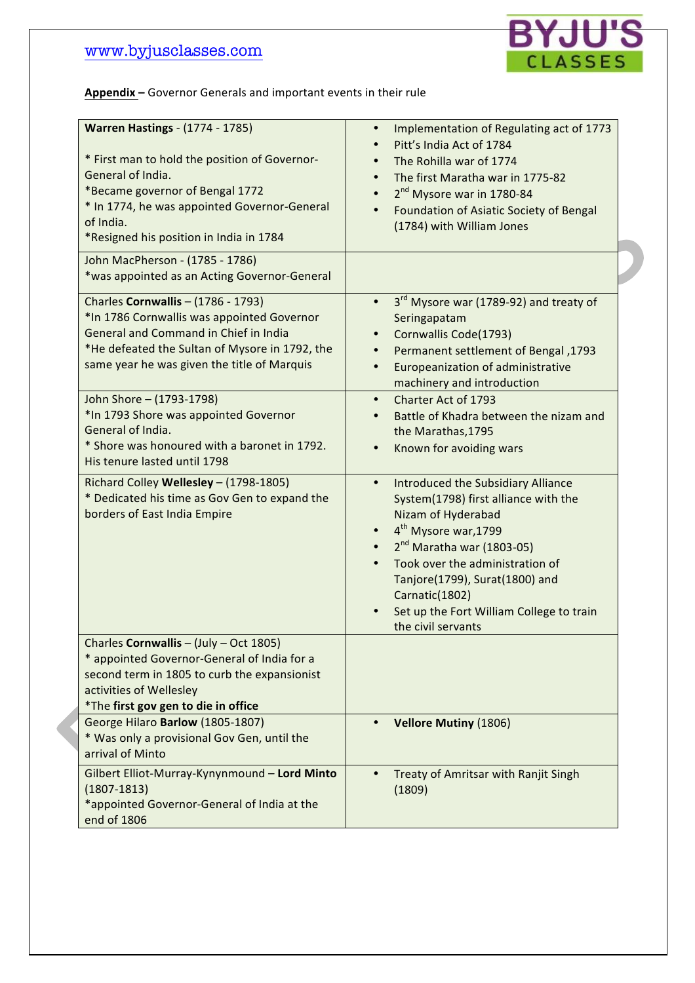

Appendix - Governor Generals and important events in their rule

| <b>Warren Hastings - (1774 - 1785)</b><br>* First man to hold the position of Governor-<br>General of India.<br>*Became governor of Bengal 1772<br>* In 1774, he was appointed Governor-General<br>of India.<br>*Resigned his position in India in 1784 | Implementation of Regulating act of 1773<br>$\bullet$<br>Pitt's India Act of 1784<br>The Rohilla war of 1774<br>The first Maratha war in 1775-82<br>2 <sup>nd</sup> Mysore war in 1780-84<br>$\bullet$<br>Foundation of Asiatic Society of Bengal<br>$\bullet$<br>(1784) with William Jones                                               |
|---------------------------------------------------------------------------------------------------------------------------------------------------------------------------------------------------------------------------------------------------------|-------------------------------------------------------------------------------------------------------------------------------------------------------------------------------------------------------------------------------------------------------------------------------------------------------------------------------------------|
| John MacPherson - (1785 - 1786)<br>*was appointed as an Acting Governor-General                                                                                                                                                                         |                                                                                                                                                                                                                                                                                                                                           |
| Charles Cornwallis - (1786 - 1793)<br>*In 1786 Cornwallis was appointed Governor<br>General and Command in Chief in India<br>*He defeated the Sultan of Mysore in 1792, the<br>same year he was given the title of Marquis                              | 3 <sup>rd</sup> Mysore war (1789-92) and treaty of<br>$\bullet$<br>Seringapatam<br>Cornwallis Code(1793)<br>Permanent settlement of Bengal, 1793<br>$\bullet$<br>Europeanization of administrative<br>machinery and introduction                                                                                                          |
| John Shore - (1793-1798)<br>*In 1793 Shore was appointed Governor<br>General of India.<br>* Shore was honoured with a baronet in 1792.<br>His tenure lasted until 1798                                                                                  | Charter Act of 1793<br>$\bullet$<br>Battle of Khadra between the nizam and<br>the Marathas, 1795<br>Known for avoiding wars<br>$\bullet$                                                                                                                                                                                                  |
| Richard Colley Wellesley - (1798-1805)<br>* Dedicated his time as Gov Gen to expand the<br>borders of East India Empire                                                                                                                                 | Introduced the Subsidiary Alliance<br>$\bullet$<br>System(1798) first alliance with the<br>Nizam of Hyderabad<br>4 <sup>th</sup> Mysore war, 1799<br>$2nd$ Maratha war (1803-05)<br>Took over the administration of<br>Tanjore(1799), Surat(1800) and<br>Carnatic(1802)<br>Set up the Fort William College to train<br>the civil servants |
| Charles Cornwallis - (July - Oct 1805)<br>* appointed Governor-General of India for a<br>second term in 1805 to curb the expansionist<br>activities of Wellesley<br>*The first gov gen to die in office                                                 |                                                                                                                                                                                                                                                                                                                                           |
| George Hilaro Barlow (1805-1807)<br>* Was only a provisional Gov Gen, until the<br>arrival of Minto                                                                                                                                                     | <b>Vellore Mutiny (1806)</b>                                                                                                                                                                                                                                                                                                              |
| Gilbert Elliot-Murray-Kynynmound - Lord Minto<br>$(1807 - 1813)$<br>*appointed Governor-General of India at the<br>end of 1806                                                                                                                          | Treaty of Amritsar with Ranjit Singh<br>(1809)                                                                                                                                                                                                                                                                                            |